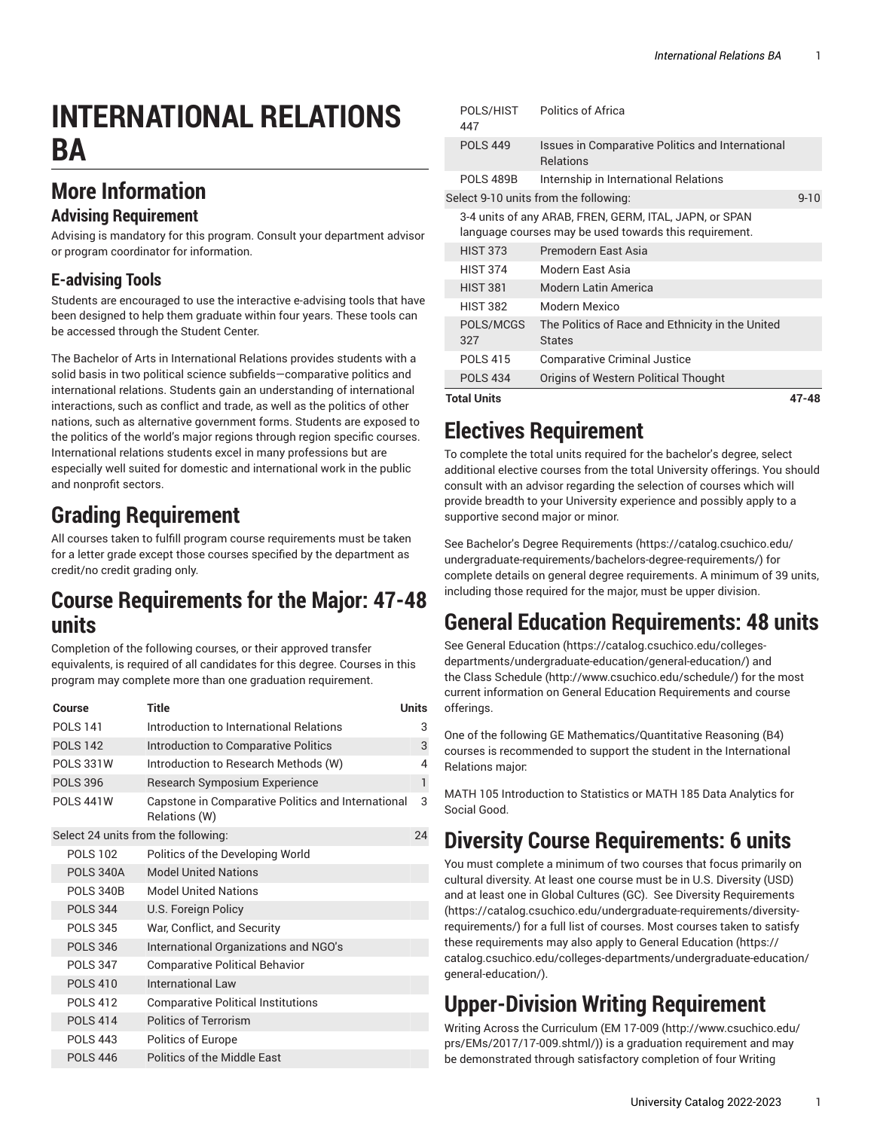# **INTERNATIONAL RELATIONS BA**

### **More Information**

#### **Advising Requirement**

Advising is mandatory for this program. Consult your department advisor or program coordinator for information.

### **E-advising Tools**

Students are encouraged to use the interactive e-advising tools that have been designed to help them graduate within four years. These tools can be accessed through the Student Center.

The Bachelor of Arts in International Relations provides students with a solid basis in two political science subfields—comparative politics and international relations. Students gain an understanding of international interactions, such as conflict and trade, as well as the politics of other nations, such as alternative government forms. Students are exposed to the politics of the world's major regions through region specific courses. International relations students excel in many professions but are especially well suited for domestic and international work in the public and nonprofit sectors.

## **Grading Requirement**

All courses taken to fulfill program course requirements must be taken for a letter grade except those courses specified by the department as credit/no credit grading only.

### **Course Requirements for the Major: 47-48 units**

Completion of the following courses, or their approved transfer equivalents, is required of all candidates for this degree. Courses in this program may complete more than one graduation requirement.

| Course                              | Title                                                               | Units |
|-------------------------------------|---------------------------------------------------------------------|-------|
| <b>POLS 141</b>                     | Introduction to International Relations                             | 3     |
| <b>POLS 142</b>                     | Introduction to Comparative Politics                                | 3     |
| <b>POLS 331W</b>                    | Introduction to Research Methods (W)                                | 4     |
| <b>POLS 396</b>                     | Research Symposium Experience                                       | 1     |
| <b>POLS 441W</b>                    | Capstone in Comparative Politics and International<br>Relations (W) | 3     |
| Select 24 units from the following: |                                                                     | 24    |
| <b>POLS 102</b>                     | Politics of the Developing World                                    |       |
| <b>POLS 340A</b>                    | <b>Model United Nations</b>                                         |       |
| <b>POLS 340B</b>                    | <b>Model United Nations</b>                                         |       |
| <b>POLS 344</b>                     | U.S. Foreign Policy                                                 |       |
| <b>POLS 345</b>                     | War, Conflict, and Security                                         |       |
| <b>POLS 346</b>                     | International Organizations and NGO's                               |       |
| <b>POLS 347</b>                     | <b>Comparative Political Behavior</b>                               |       |
| <b>POLS 410</b>                     | <b>International Law</b>                                            |       |
| <b>POLS412</b>                      | <b>Comparative Political Institutions</b>                           |       |
| <b>POLS 414</b>                     | <b>Politics of Terrorism</b>                                        |       |
| <b>POLS 443</b>                     | Politics of Europe                                                  |       |
| <b>POLS 446</b>                     | Politics of the Middle East                                         |       |

| <b>Total Units</b> |                  |                                                                                                                  |          |
|--------------------|------------------|------------------------------------------------------------------------------------------------------------------|----------|
|                    | <b>POLS 434</b>  | Origins of Western Political Thought                                                                             |          |
|                    | <b>POLS 415</b>  | <b>Comparative Criminal Justice</b>                                                                              |          |
|                    | 327              | <b>States</b>                                                                                                    |          |
|                    | POLS/MCGS        | The Politics of Race and Ethnicity in the United                                                                 |          |
|                    | <b>HIST 382</b>  | Modern Mexico                                                                                                    |          |
|                    | <b>HIST 381</b>  | Modern Latin America                                                                                             |          |
|                    | <b>HIST 374</b>  | Modern East Asia                                                                                                 |          |
|                    | <b>HIST 373</b>  | Premodern East Asia                                                                                              |          |
|                    |                  | 3-4 units of any ARAB, FREN, GERM, ITAL, JAPN, or SPAN<br>language courses may be used towards this requirement. |          |
|                    |                  | Select 9-10 units from the following:                                                                            | $9 - 10$ |
|                    | <b>POLS 489B</b> | Internship in International Relations                                                                            |          |
|                    | <b>POLS 449</b>  | Issues in Comparative Politics and International<br><b>Relations</b>                                             |          |
|                    | POLS/HIST<br>447 | Politics of Africa                                                                                               |          |

## **Electives Requirement**

To complete the total units required for the bachelor's degree, select additional elective courses from the total University offerings. You should consult with an advisor regarding the selection of courses which will provide breadth to your University experience and possibly apply to a supportive second major or minor.

See Bachelor's Degree [Requirements \(https://catalog.csuchico.edu/](https://catalog.csuchico.edu/undergraduate-requirements/bachelors-degree-requirements/) [undergraduate-requirements/bachelors-degree-requirements/](https://catalog.csuchico.edu/undergraduate-requirements/bachelors-degree-requirements/)) for complete details on general degree requirements. A minimum of 39 units, including those required for the major, must be upper division.

### **General Education Requirements: 48 units**

See General [Education \(https://catalog.csuchico.edu/colleges](https://catalog.csuchico.edu/colleges-departments/undergraduate-education/general-education/)[departments/undergraduate-education/general-education/\)](https://catalog.csuchico.edu/colleges-departments/undergraduate-education/general-education/) and the [Class Schedule](http://www.csuchico.edu/schedule/) ([http://www.csuchico.edu/schedule/\)](http://www.csuchico.edu/schedule/) for the most current information on General Education Requirements and course offerings.

One of the following GE Mathematics/Quantitative Reasoning (B4) courses is recommended to support the student in the International Relations major:

MATH 105 Introduction to Statistics or MATH 185 Data Analytics for Social Good.

### **Diversity Course Requirements: 6 units**

You must complete a minimum of two courses that focus primarily on cultural diversity. At least one course must be in U.S. Diversity (USD) and at least one in Global Cultures (GC). See Diversity [Requirements](https://catalog.csuchico.edu/undergraduate-requirements/diversity-requirements/) [\(https://catalog.csuchico.edu/undergraduate-requirements/diversity](https://catalog.csuchico.edu/undergraduate-requirements/diversity-requirements/)[requirements/](https://catalog.csuchico.edu/undergraduate-requirements/diversity-requirements/)) for a full list of courses. Most courses taken to satisfy these requirements may also apply to General [Education \(https://](https://catalog.csuchico.edu/colleges-departments/undergraduate-education/general-education/) [catalog.csuchico.edu/colleges-departments/undergraduate-education/](https://catalog.csuchico.edu/colleges-departments/undergraduate-education/general-education/) [general-education/](https://catalog.csuchico.edu/colleges-departments/undergraduate-education/general-education/)).

## **Upper-Division Writing Requirement**

Writing Across the Curriculum [\(EM 17-009 \(http://www.csuchico.edu/](http://www.csuchico.edu/prs/EMs/2017/17-009.shtml/) [prs/EMs/2017/17-009.shtml/](http://www.csuchico.edu/prs/EMs/2017/17-009.shtml/))) is a graduation requirement and may be demonstrated through satisfactory completion of four Writing